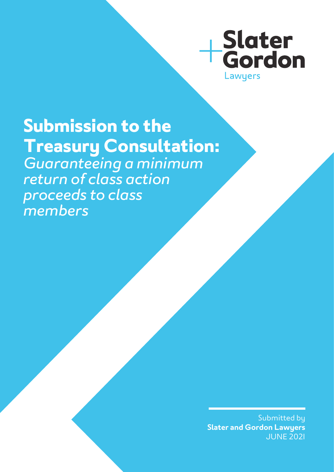

# **Submission to the Treasury Consultation:**  *Guaranteeing a minimum return of class action proceeds to class members*

Submitted by **Slater and Gordon Lawyers** JUNE 2021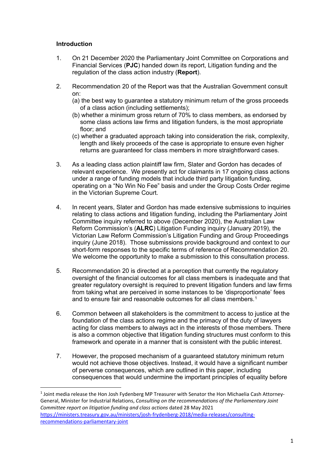## **Introduction**

- 1. On 21 December 2020 the Parliamentary Joint Committee on Corporations and Financial Services (**PJC**) handed down its report, Litigation funding and the regulation of the class action industry (**Report**).
- 2. Recommendation 20 of the Report was that the Australian Government consult on:
	- (a) the best way to guarantee a statutory minimum return of the gross proceeds of a class action (including settlements);
	- (b) whether a minimum gross return of 70% to class members, as endorsed by some class actions law firms and litigation funders, is the most appropriate floor; and
	- (c) whether a graduated approach taking into consideration the risk, complexity, length and likely proceeds of the case is appropriate to ensure even higher returns are guaranteed for class members in more straightforward cases.
- 3. As a leading class action plaintiff law firm, Slater and Gordon has decades of relevant experience. We presently act for claimants in 17 ongoing class actions under a range of funding models that include third party litigation funding, operating on a "No Win No Fee" basis and under the Group Costs Order regime in the Victorian Supreme Court.
- 4. In recent years, Slater and Gordon has made extensive submissions to inquiries relating to class actions and litigation funding, including the Parliamentary Joint Committee inquiry referred to above (December 2020), the Australian Law Reform Commission's (**ALRC**) Litigation Funding inquiry (January 2019), the Victorian Law Reform Commission's Litigation Funding and Group Proceedings inquiry (June 2018). Those submissions provide background and context to our short-form responses to the specific terms of reference of Recommendation 20. We welcome the opportunity to make a submission to this consultation process.
- 5. Recommendation 20 is directed at a perception that currently the regulatory oversight of the financial outcomes for all class members is inadequate and that greater regulatory oversight is required to prevent litigation funders and law firms from taking what are perceived in some instances to be 'disproportionate' fees and to ensure fair and reasonable outcomes for all class members.<sup>[1](#page-1-0)</sup>
- 6. Common between all stakeholders is the commitment to access to justice at the foundation of the class actions regime and the primacy of the duty of lawyers acting for class members to always act in the interests of those members. There is also a common objective that litigation funding structures must conform to this framework and operate in a manner that is consistent with the public interest.
- 7. However, the proposed mechanism of a guaranteed statutory minimum return would not achieve those objectives. Instead, it would have a significant number of perverse consequences, which are outlined in this paper, including consequences that would undermine the important principles of equality before

<span id="page-1-0"></span><sup>&</sup>lt;sup>1</sup> Joint media release the Hon Josh Fydenberg MP Treasurer with Senator the Hon Michaelia Cash Attorney-General, Minister for Industrial Relations, *Consulting on the recommendations of the Parliamentary Joint Committee report on litigation funding and class actions* dated 28 May 2021 [https://ministers.treasury.gov.au/ministers/josh-frydenberg-2018/media-releases/consulting](https://ministers.treasury.gov.au/ministers/josh-frydenberg-2018/media-releases/consulting-recommendations-parliamentary-joint)[recommendations-parliamentary-joint](https://ministers.treasury.gov.au/ministers/josh-frydenberg-2018/media-releases/consulting-recommendations-parliamentary-joint)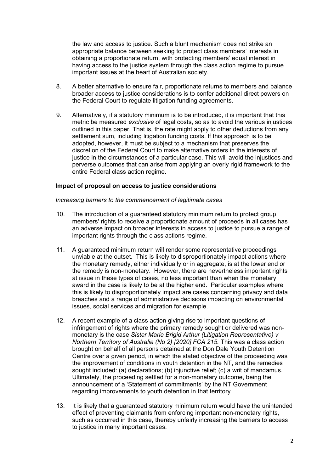the law and access to justice. Such a blunt mechanism does not strike an appropriate balance between seeking to protect class members' interests in obtaining a proportionate return, with protecting members' equal interest in having access to the justice system through the class action regime to pursue important issues at the heart of Australian society.

- 8. A better alternative to ensure fair, proportionate returns to members and balance broader access to justice considerations is to confer additional direct powers on the Federal Court to regulate litigation funding agreements.
- 9. Alternatively, if a statutory minimum is to be introduced, it is important that this metric be measured *exclusive* of legal costs, so as to avoid the various injustices outlined in this paper. That is, the rate might apply to other deductions from any settlement sum, including litigation funding costs. If this approach is to be adopted, however, it must be subject to a mechanism that preserves the discretion of the Federal Court to make alternative orders in the interests of justice in the circumstances of a particular case. This will avoid the injustices and perverse outcomes that can arise from applying an overly rigid framework to the entire Federal class action regime.

### **Impact of proposal on access to justice considerations**

*Increasing barriers to the commencement of legitimate cases*

- 10. The introduction of a guaranteed statutory minimum return to protect group members' rights to receive a proportionate amount of proceeds in all cases has an adverse impact on broader interests in access to justice to pursue a range of important rights through the class actions regime.
- 11. A guaranteed minimum return will render some representative proceedings unviable at the outset. This is likely to disproportionately impact actions where the monetary remedy, either individually or in aggregate, is at the lower end or the remedy is non-monetary. However, there are nevertheless important rights at issue in these types of cases, no less important than when the monetary award in the case is likely to be at the higher end. Particular examples where this is likely to disproportionately impact are cases concerning privacy and data breaches and a range of administrative decisions impacting on environmental issues, social services and migration for example.
- 12. A recent example of a class action giving rise to important questions of infringement of rights where the primary remedy sought or delivered was nonmonetary is the case *Sister Marie Brigid Arthur (Litigation Representative) v Northern Territory of Australia (No 2) [2020] FCA 215.* This was a class action brought on behalf of all persons detained at the Don Dale Youth Detention Centre over a given period, in which the stated objective of the proceeding was the improvement of conditions in youth detention in the NT, and the remedies sought included: (a) declarations; (b) injunctive relief; (c) a writ of mandamus. Ultimately, the proceeding settled for a non-monetary outcome, being the announcement of a 'Statement of commitments' by the NT Government regarding improvements to youth detention in that territory.
- 13. It is likely that a guaranteed statutory minimum return would have the unintended effect of preventing claimants from enforcing important non-monetary rights, such as occurred in this case, thereby unfairly increasing the barriers to access to justice in many important cases.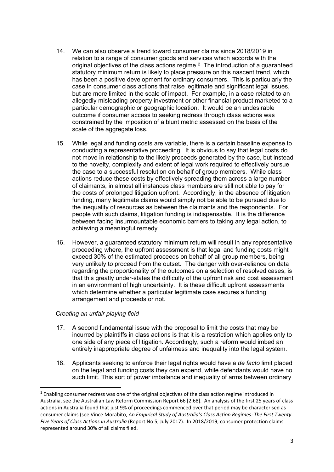- 14. We can also observe a trend toward consumer claims since 2018/2019 in relation to a range of consumer goods and services which accords with the original objectives of the class actions regime.[2](#page-3-0) The introduction of a guaranteed statutory minimum return is likely to place pressure on this nascent trend, which has been a positive development for ordinary consumers. This is particularly the case in consumer class actions that raise legitimate and significant legal issues, but are more limited in the scale of impact. For example, in a case related to an allegedly misleading property investment or other financial product marketed to a particular demographic or geographic location. It would be an undesirable outcome if consumer access to seeking redress through class actions was constrained by the imposition of a blunt metric assessed on the basis of the scale of the aggregate loss.
- 15. While legal and funding costs are variable, there is a certain baseline expense to conducting a representative proceeding. It is obvious to say that legal costs do not move in relationship to the likely proceeds generated by the case, but instead to the novelty, complexity and extent of legal work required to effectively pursue the case to a successful resolution on behalf of group members. While class actions reduce these costs by effectively spreading them across a large number of claimants, in almost all instances class members are still not able to pay for the costs of prolonged litigation upfront. Accordingly, in the absence of litigation funding, many legitimate claims would simply not be able to be pursued due to the inequality of resources as between the claimants and the respondents. For people with such claims, litigation funding is indispensable. It is the difference between facing insurmountable economic barriers to taking any legal action, to achieving a meaningful remedy.
- 16. However, a guaranteed statutory minimum return will result in any representative proceeding where, the upfront assessment is that legal and funding costs might exceed 30% of the estimated proceeds on behalf of all group members, being very unlikely to proceed from the outset. The danger with over-reliance on data regarding the proportionality of the outcomes on a selection of resolved cases, is that this greatly under-states the difficulty of the upfront risk and cost assessment in an environment of high uncertainty. It is these difficult upfront assessments which determine whether a particular legitimate case secures a funding arrangement and proceeds or not.

## *Creating an unfair playing field*

- 17. A second fundamental issue with the proposal to limit the costs that may be incurred by plaintiffs in class actions is that it is a restriction which applies only to one side of any piece of litigation. Accordingly, such a reform would imbed an entirely inappropriate degree of unfairness and inequality into the legal system.
- 18. Applicants seeking to enforce their legal rights would have a *de facto* limit placed on the legal and funding costs they can expend, while defendants would have no such limit. This sort of power imbalance and inequality of arms between ordinary

<span id="page-3-0"></span><sup>&</sup>lt;sup>2</sup> Enabling consumer redress was one of the original objectives of the class action regime introduced in Australia, see the Australian Law Reform Commission Report 66 [2.68]. An analysis of the first 25 years of class actions in Australia found that just 9% of proceedings commenced over that period may be characterised as consumer claims (see Vince Morabito, *An Empirical Study of Australia's Class Action Regimes: The First Twenty-Five Years of Class Actions in Australia* (Report No 5, July 2017). In 2018/2019, consumer protection claims represented around 30% of all claims filed.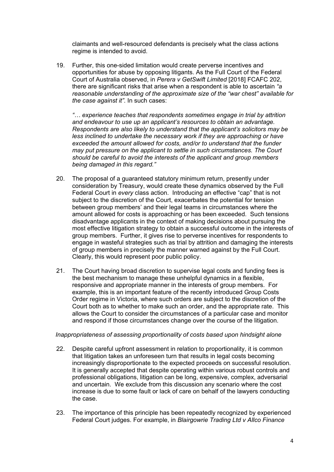claimants and well-resourced defendants is precisely what the class actions regime is intended to avoid.

19. Further, this one-sided limitation would create perverse incentives and opportunities for abuse by opposing litigants. As the Full Court of the Federal Court of Australia observed, in *Perera v GetSwift Limited* [2018] FCAFC 202, there are significant risks that arise when a respondent is able to ascertain *"a reasonable understanding of the approximate size of the "war chest" available for the case against it"*. In such cases:

*"… experience teaches that respondents sometimes engage in trial by attrition and endeavour to use up an applicant's resources to obtain an advantage. Respondents are also likely to understand that the applicant's solicitors may be less inclined to undertake the necessary work if they are approaching or have exceeded the amount allowed for costs, and/or to understand that the funder may put pressure on the applicant to settle in such circumstances. The Court should be careful to avoid the interests of the applicant and group members being damaged in this regard."*

- 20. The proposal of a guaranteed statutory minimum return, presently under consideration by Treasury, would create these dynamics observed by the Full Federal Court in *every* class action. Introducing an effective "cap" that is not subject to the discretion of the Court, exacerbates the potential for tension between group members' and their legal teams in circumstances where the amount allowed for costs is approaching or has been exceeded. Such tensions disadvantage applicants in the context of making decisions about pursuing the most effective litigation strategy to obtain a successful outcome in the interests of group members. Further, it gives rise to perverse incentives for respondents to engage in wasteful strategies such as trial by attrition and damaging the interests of group members in precisely the manner warned against by the Full Court. Clearly, this would represent poor public policy.
- 21. The Court having broad discretion to supervise legal costs and funding fees is the best mechanism to manage these unhelpful dynamics in a flexible, responsive and appropriate manner in the interests of group members. For example, this is an important feature of the recently introduced Group Costs Order regime in Victoria, where such orders are subject to the discretion of the Court both as to whether to make such an order, and the appropriate rate. This allows the Court to consider the circumstances of a particular case and monitor and respond if those circumstances change over the course of the litigation.

#### *Inappropriateness of assessing proportionality of costs based upon hindsight alone*

- 22. Despite careful upfront assessment in relation to proportionality, it is common that litigation takes an unforeseen turn that results in legal costs becoming increasingly disproportionate to the expected proceeds on successful resolution. It is generally accepted that despite operating within various robust controls and professional obligations, litigation can be long, expensive, complex, adversarial and uncertain. We exclude from this discussion any scenario where the cost increase is due to some fault or lack of care on behalf of the lawyers conducting the case.
- 23. The importance of this principle has been repeatedly recognized by experienced Federal Court judges. For example, in *Blairgowrie Trading Ltd v Allco Finance*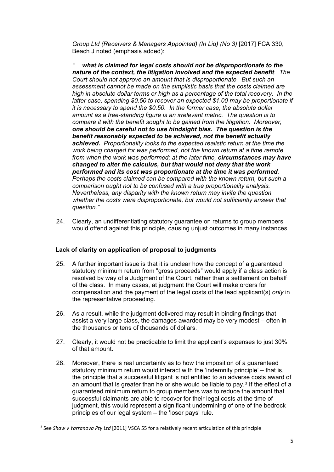*Group Ltd (Receivers & Managers Appointed) (In Liq) (No 3)* [2017] FCA 330, Beach J noted (emphasis added):

*"… what is claimed for legal costs should not be disproportionate to the nature of the context, the litigation involved and the expected benefit. The Court should not approve an amount that is disproportionate. But such an assessment cannot be made on the simplistic basis that the costs claimed are high in absolute dollar terms or high as a percentage of the total recovery. In the latter case, spending \$0.50 to recover an expected \$1.00 may be proportionate if it is necessary to spend the \$0.50. In the former case, the absolute dollar amount as a free-standing figure is an irrelevant metric. The question is to compare it with the benefit sought to be gained from the litigation. Moreover, one should be careful not to use hindsight bias. The question is the benefit reasonably expected to be achieved, not the benefit actually achieved. Proportionality looks to the expected realistic return at the time the work being charged for was performed, not the known return at a time remote from when the work was performed; at the later time, circumstances may have changed to alter the calculus, but that would not deny that the work performed and its cost was proportionate at the time it was performed. Perhaps the costs claimed can be compared with the known return, but such a comparison ought not to be confused with a true proportionality analysis. Nevertheless, any disparity with the known return may invite the question whether the costs were disproportionate, but would not sufficiently answer that question."*

24. Clearly, an undifferentiating statutory guarantee on returns to group members would offend against this principle, causing unjust outcomes in many instances.

## **Lack of clarity on application of proposal to judgments**

- 25. A further important issue is that it is unclear how the concept of a guaranteed statutory minimum return from "gross proceeds" would apply if a class action is resolved by way of a Judgment of the Court, rather than a settlement on behalf of the class. In many cases, at judgment the Court will make orders for compensation and the payment of the legal costs of the lead applicant(s) *only* in the representative proceeding.
- 26. As a result, while the judgment delivered may result in binding findings that assist a very large class, the damages awarded may be very modest – often in the thousands or tens of thousands of dollars.
- 27. Clearly, it would not be practicable to limit the applicant's expenses to just 30% of that amount.
- 28. Moreover, there is real uncertainty as to how the imposition of a guaranteed statutory minimum return would interact with the 'indemnity principle' – that is, the principle that a successful litigant is not entitled to an adverse costs award of an amount that is greater than he or she would be liable to pay.[3](#page-5-0) If the effect of a guaranteed minimum return to group members was to reduce the amount that successful claimants are able to recover for their legal costs at the time of judgment, this would represent a significant undermining of one of the bedrock principles of our legal system – the 'loser pays' rule.

<span id="page-5-0"></span> <sup>3</sup> See *Shaw v Yarranova Pty Ltd* [2011] VSCA 55 for a relatively recent articulation of this principle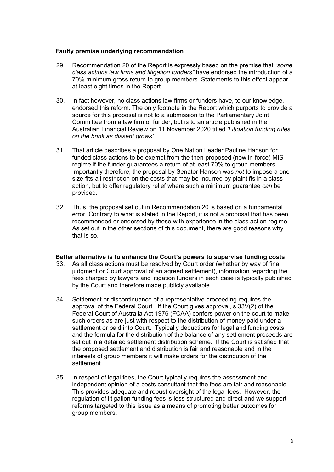## **Faulty premise underlying recommendation**

- 29. Recommendation 20 of the Report is expressly based on the premise that *"some class actions law firms and litigation funders"* have endorsed the introduction of a 70% minimum gross return to group members. Statements to this effect appear at least eight times in the Report.
- 30. In fact however, no class actions law firms or funders have, to our knowledge, endorsed this reform. The only footnote in the Report which purports to provide a source for this proposal is not to a submission to the Parliamentary Joint Committee from a law firm or funder, but is to an article published in the Australian Financial Review on 11 November 2020 titled *'Litigation funding rules on the brink as dissent grows'*.
- 31. That article describes a proposal by One Nation Leader Pauline Hanson for funded class actions to be exempt from the then-proposed (now in-force) MIS regime if the funder guarantees a return of at least 70% to group members. Importantly therefore, the proposal by Senator Hanson was *not* to impose a onesize-fits-all restriction on the costs that may be incurred by plaintiffs in a class action, but to offer regulatory relief where such a minimum guarantee *can* be provided.
- 32. Thus, the proposal set out in Recommendation 20 is based on a fundamental error. Contrary to what is stated in the Report, it is not a proposal that has been recommended or endorsed by those with experience in the class action regime. As set out in the other sections of this document, there are good reasons why that is so.

#### **Better alternative is to enhance the Court's powers to supervise funding costs**

- 33. As all class actions must be resolved by Court order (whether by way of final judgment or Court approval of an agreed settlement), information regarding the fees charged by lawyers and litigation funders in each case is typically published by the Court and therefore made publicly available.
- 34. Settlement or discontinuance of a representative proceeding requires the approval of the Federal Court. If the Court gives approval, s 33V(2) of the Federal Court of Australia Act 1976 (FCAA) confers power on the court to make such orders as are just with respect to the distribution of money paid under a settlement or paid into Court. Typically deductions for legal and funding costs and the formula for the distribution of the balance of any settlement proceeds are set out in a detailed settlement distribution scheme. If the Court is satisfied that the proposed settlement and distribution is fair and reasonable and in the interests of group members it will make orders for the distribution of the settlement.
- 35. In respect of legal fees, the Court typically requires the assessment and independent opinion of a costs consultant that the fees are fair and reasonable. This provides adequate and robust oversight of the legal fees. However, the regulation of litigation funding fees is less structured and direct and we support reforms targeted to this issue as a means of promoting better outcomes for group members.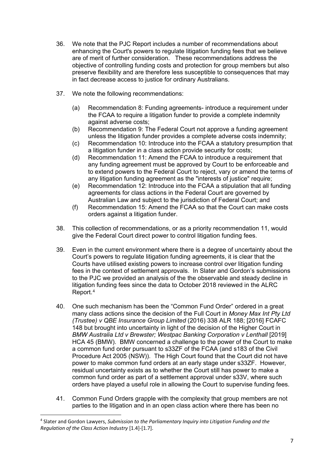- 36. We note that the PJC Report includes a number of recommendations about enhancing the Court's powers to regulate litigation funding fees that we believe are of merit of further consideration. These recommendations address the objective of controlling funding costs and protection for group members but also preserve flexibility and are therefore less susceptible to consequences that may in fact decrease access to justice for ordinary Australians.
- 37. We note the following recommendations:
	- (a) Recommendation 8: Funding agreements- introduce a requirement under the FCAA to require a litigation funder to provide a complete indemnity against adverse costs;
	- (b) Recommendation 9: The Federal Court not approve a funding agreement unless the litigation funder provides a complete adverse costs indemnity;
	- (c) Recommendation 10: Introduce into the FCAA a statutory presumption that a litigation funder in a class action provide security for costs;
	- (d) Recommendation 11: Amend the FCAA to introduce a requirement that any funding agreement must be approved by Court to be enforceable and to extend powers to the Federal Court to reject, vary or amend the terms of any litigation funding agreement as the "interests of justice" require;
	- (e) Recommendation 12: Introduce into the FCAA a stipulation that all funding agreements for class actions in the Federal Court are governed by Australian Law and subject to the jurisdiction of Federal Court; and
	- (f) Recommendation 15: Amend the FCAA so that the Court can make costs orders against a litigation funder.
- 38. This collection of recommendations, or as a priority recommendation 11, would give the Federal Court direct power to control litigation funding fees.
- 39. Even in the current environment where there is a degree of uncertainty about the Court's powers to regulate litigation funding agreements, it is clear that the Courts have utilised existing powers to increase control over litigation funding fees in the context of settlement approvals. In Slater and Gordon's submissions to the PJC we provided an analysis of the the observable and steady decline in litigation funding fees since the data to October 2018 reviewed in the ALRC Report.[4](#page-7-0)
- 40. One such mechanism has been the "Common Fund Order" ordered in a great many class actions since the decision of the Full Court in *Money Max Int Pty Ltd (Trustee) v QBE Insurance Group Limited* (2016) 338 ALR 188; [2016] FCAFC 148 but brought into uncertainty in light of the decision of the Higher Court in *BMW Australia Ltd v Brewster; Westpac Banking Corporation v Lenthall* [2019] HCA 45 (BMW). BMW concerned a challenge to the power of the Court to make a common fund order pursuant to s33ZF of the FCAA (and s183 of the Civil Procedure Act 2005 (NSW)). The High Court found that the Court did not have power to make common fund orders at an early stage under s33ZF. However, residual uncertainty exists as to whether the Court still has power to make a common fund order as part of a settlement approval under s33V, where such orders have played a useful role in allowing the Court to supervise funding fees.
- 41. Common Fund Orders grapple with the complexity that group members are not parties to the litigation and in an open class action where there has been no

<span id="page-7-0"></span> <sup>4</sup> Slater and Gordon Lawyers, *Submission to the Parliamentary Inquiry into Litigation Funding and the Regulation of the Class Action Industry* [1.4]-[1.7].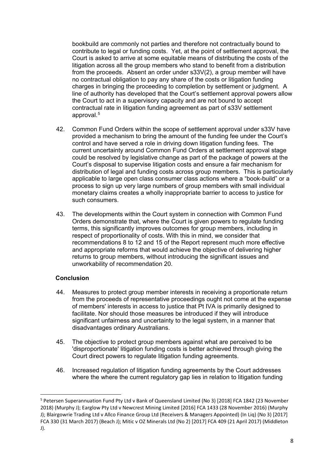bookbuild are commonly not parties and therefore not contractually bound to contribute to legal or funding costs. Yet, at the point of settlement approval, the Court is asked to arrive at some equitable means of distributing the costs of the litigation across all the group members who stand to benefit from a distribution from the proceeds. Absent an order under s33V(2), a group member will have no contractual obligation to pay any share of the costs or litigation funding charges in bringing the proceeding to completion by settlement or judgment. A line of authority has developed that the Court's settlement approval powers allow the Court to act in a supervisory capacity and are not bound to accept contractual rate in litigation funding agreement as part of s33V settlement approval.[5](#page-8-0)

- 42. Common Fund Orders within the scope of settlement approval under s33V have provided a mechanism to bring the amount of the funding fee under the Court's control and have served a role in driving down litigation funding fees. The current uncertainty around Common Fund Orders at settlement approval stage could be resolved by legislative change as part of the package of powers at the Court's disposal to supervise litigation costs and ensure a fair mechanism for distribution of legal and funding costs across group members. This is particularly applicable to large open class consumer class actions where a "book-build" or a process to sign up very large numbers of group members with small individual monetary claims creates a wholly inappropriate barrier to access to justice for such consumers.
- 43. The developments within the Court system in connection with Common Fund Orders demonstrate that, where the Court is given powers to regulate funding terms, this significantly improves outcomes for group members, including in respect of proportionality of costs. With this in mind, we consider that recommendations 8 to 12 and 15 of the Report represent much more effective and appropriate reforms that would achieve the objective of delivering higher returns to group members, without introducing the significant issues and unworkability of recommendation 20.

## **Conclusion**

- 44. Measures to protect group member interests in receiving a proportionate return from the proceeds of representative proceedings ought not come at the expense of members' interests in access to justice that Pt IVA is primarily designed to facilitate. Nor should those measures be introduced if they will introduce significant unfairness and uncertainty to the legal system, in a manner that disadvantages ordinary Australians.
- 45. The objective to protect group members against what are perceived to be 'disproportionate' litigation funding costs is better achieved through giving the Court direct powers to regulate litigation funding agreements.
- 46. Increased regulation of litigation funding agreements by the Court addresses where the where the current regulatory gap lies in relation to litigation funding

<span id="page-8-0"></span> <sup>5</sup> Petersen Superannuation Fund Pty Ltd v Bank of Queensland Limited (No 3) [2018] FCA 1842 (23 November 2018) (Murphy J); Earglow Pty Ltd v Newcrest Mining Limited [2016] FCA 1433 (28 November 2016) (Murphy J); Blairgowrie Trading Ltd v Allco Finance Group Ltd (Receivers & Managers Appointed) (In Liq) (No 3) [2017] FCA 330 (31 March 2017) (Beach J); Mitic v OZ Minerals Ltd (No 2) [2017] FCA 409 (21 April 2017) (Middleton J).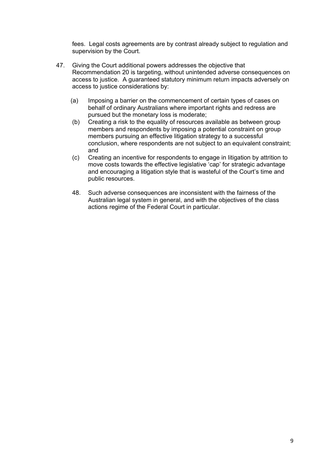fees. Legal costs agreements are by contrast already subject to regulation and supervision by the Court.

- 47. Giving the Court additional powers addresses the objective that Recommendation 20 is targeting, without unintended adverse consequences on access to justice. A guaranteed statutory minimum return impacts adversely on access to justice considerations by:
	- (a) Imposing a barrier on the commencement of certain types of cases on behalf of ordinary Australians where important rights and redress are pursued but the monetary loss is moderate;
	- (b) Creating a risk to the equality of resources available as between group members and respondents by imposing a potential constraint on group members pursuing an effective litigation strategy to a successful conclusion, where respondents are not subject to an equivalent constraint; and
	- (c) Creating an incentive for respondents to engage in litigation by attrition to move costs towards the effective legislative 'cap' for strategic advantage and encouraging a litigation style that is wasteful of the Court's time and public resources.
	- 48. Such adverse consequences are inconsistent with the fairness of the Australian legal system in general, and with the objectives of the class actions regime of the Federal Court in particular.